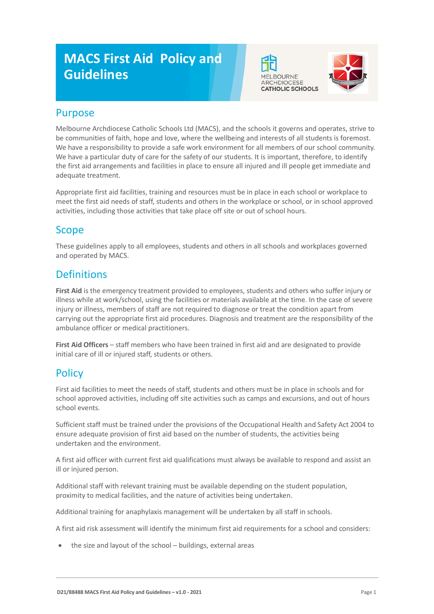# **MACS First Aid Policy and Guidelines**





### Purpose

Melbourne Archdiocese Catholic Schools Ltd (MACS), and the schools it governs and operates, strive to be communities of faith, hope and love, where the wellbeing and interests of all students is foremost. We have a responsibility to provide a safe work environment for all members of our school community. We have a particular duty of care for the safety of our students. It is important, therefore, to identify the first aid arrangements and facilities in place to ensure all injured and ill people get immediate and adequate treatment.

Appropriate first aid facilities, training and resources must be in place in each school or workplace to meet the first aid needs of staff, students and others in the workplace or school, or in school approved activities, including those activities that take place off site or out of school hours.

# Scope

These guidelines apply to all employees, students and others in all schools and workplaces governed and operated by MACS.

# **Definitions**

**First Aid** is the emergency treatment provided to employees, students and others who suffer injury or illness while at work/school, using the facilities or materials available at the time. In the case of severe injury or illness, members of staff are not required to diagnose or treat the condition apart from carrying out the appropriate first aid procedures. Diagnosis and treatment are the responsibility of the ambulance officer or medical practitioners.

**First Aid Officers** – staff members who have been trained in first aid and are designated to provide initial care of ill or injured staff, students or others.

# **Policy**

First aid facilities to meet the needs of staff, students and others must be in place in schools and for school approved activities, including off site activities such as camps and excursions, and out of hours school events.

Sufficient staff must be trained under the provisions of the Occupational Health and Safety Act 2004 to ensure adequate provision of first aid based on the number of students, the activities being undertaken and the environment.

A first aid officer with current first aid qualifications must always be available to respond and assist an ill or injured person.

Additional staff with relevant training must be available depending on the student population, proximity to medical facilities, and the nature of activities being undertaken.

Additional training for anaphylaxis management will be undertaken by all staff in schools.

A first aid risk assessment will identify the minimum first aid requirements for a school and considers:

the size and layout of the school - buildings, external areas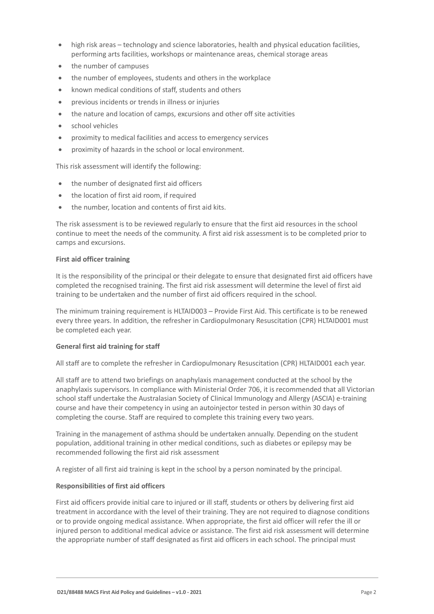- high risk areas technology and science laboratories, health and physical education facilities, performing arts facilities, workshops or maintenance areas, chemical storage areas
- the number of campuses
- the number of employees, students and others in the workplace
- known medical conditions of staff, students and others
- previous incidents or trends in illness or injuries
- the nature and location of camps, excursions and other off site activities
- school vehicles
- proximity to medical facilities and access to emergency services
- proximity of hazards in the school or local environment.

This risk assessment will identify the following:

- the number of designated first aid officers
- the location of first aid room, if required
- the number, location and contents of first aid kits.

The risk assessment is to be reviewed regularly to ensure that the first aid resources in the school continue to meet the needs of the community. A first aid risk assessment is to be completed prior to camps and excursions.

#### **First aid officer training**

It is the responsibility of the principal or their delegate to ensure that designated first aid officers have completed the recognised training. The first aid risk assessment will determine the level of first aid training to be undertaken and the number of first aid officers required in the school.

The minimum training requirement is HLTAID003 – Provide First Aid. This certificate is to be renewed every three years. In addition, the refresher in Cardiopulmonary Resuscitation (CPR) HLTAID001 must be completed each year.

#### **General first aid training for staff**

All staff are to complete the refresher in Cardiopulmonary Resuscitation (CPR) HLTAID001 each year.

All staff are to attend two briefings on anaphylaxis management conducted at the school by the anaphylaxis supervisors. In compliance with Ministerial Order 706, it is recommended that all Victorian school staff undertake the Australasian Society of Clinical Immunology and Allergy (ASCIA) e-training course and have their competency in using an autoinjector tested in person within 30 days of completing the course. Staff are required to complete this training every two years.

Training in the management of asthma should be undertaken annually. Depending on the student population, additional training in other medical conditions, such as diabetes or epilepsy may be recommended following the first aid risk assessment

A register of all first aid training is kept in the school by a person nominated by the principal.

#### **Responsibilities of first aid officers**

First aid officers provide initial care to injured or ill staff, students or others by delivering first aid treatment in accordance with the level of their training. They are not required to diagnose conditions or to provide ongoing medical assistance. When appropriate, the first aid officer will refer the ill or injured person to additional medical advice or assistance. The first aid risk assessment will determine the appropriate number of staff designated as first aid officers in each school. The principal must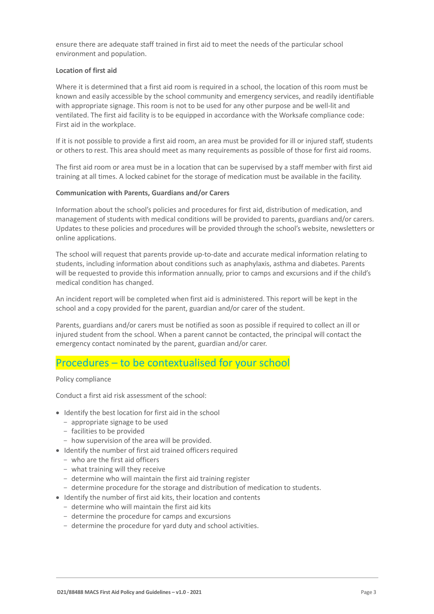ensure there are adequate staff trained in first aid to meet the needs of the particular school environment and population.

#### **Location of first aid**

Where it is determined that a first aid room is required in a school, the location of this room must be known and easily accessible by the school community and emergency services, and readily identifiable with appropriate signage. This room is not to be used for any other purpose and be well-lit and ventilated. The first aid facility is to be equipped in accordance with the Worksafe compliance code: First aid in the workplace.

If it is not possible to provide a first aid room, an area must be provided for ill or injured staff, students or others to rest. This area should meet as many requirements as possible of those for first aid rooms.

The first aid room or area must be in a location that can be supervised by a staff member with first aid training at all times. A locked cabinet for the storage of medication must be available in the facility.

#### **Communication with Parents, Guardians and/or Carers**

Information about the school's policies and procedures for first aid, distribution of medication, and management of students with medical conditions will be provided to parents, guardians and/or carers. Updates to these policies and procedures will be provided through the school's website, newsletters or online applications.

The school will request that parents provide up-to-date and accurate medical information relating to students, including information about conditions such as anaphylaxis, asthma and diabetes. Parents will be requested to provide this information annually, prior to camps and excursions and if the child's medical condition has changed.

An incident report will be completed when first aid is administered. This report will be kept in the school and a copy provided for the parent, guardian and/or carer of the student.

Parents, guardians and/or carers must be notified as soon as possible if required to collect an ill or injured student from the school. When a parent cannot be contacted, the principal will contact the emergency contact nominated by the parent, guardian and/or carer.

## Procedures – to be contextualised for your school

#### Policy compliance

Conduct a first aid risk assessment of the school:

- Identify the best location for first aid in the school
	- appropriate signage to be used
	- facilities to be provided
	- how supervision of the area will be provided.
- Identify the number of first aid trained officers required
	- who are the first aid officers
	- what training will they receive
	- determine who will maintain the first aid training register
	- determine procedure for the storage and distribution of medication to students.
- Identify the number of first aid kits, their location and contents
	- determine who will maintain the first aid kits
	- determine the procedure for camps and excursions
	- determine the procedure for yard duty and school activities.